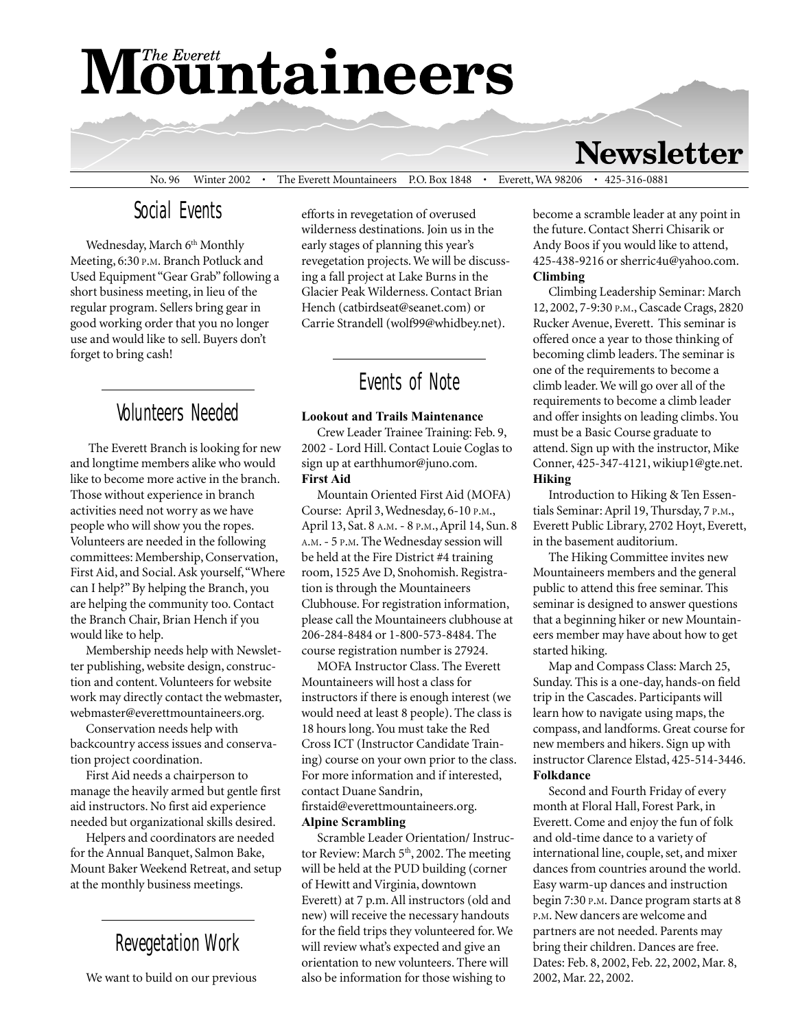# **Mountaineers**

### **Newsletter**

No. 96 Winter 2002 • The Everett Mountaineers P.O. Box 1848 • Everett, WA 98206 • 425-316-0881

#### Social Events

Wednesday, March 6<sup>th</sup> Monthly Meeting, 6:30 P.M. Branch Potluck and Used Equipment "Gear Grab" following a short business meeting, in lieu of the regular program. Sellers bring gear in good working order that you no longer use and would like to sell. Buyers don't forget to bring cash!

#### Volunteers Needed

 The Everett Branch is looking for new and longtime members alike who would like to become more active in the branch. Those without experience in branch activities need not worry as we have people who will show you the ropes. Volunteers are needed in the following committees: Membership, Conservation, First Aid, and Social. Ask yourself, "Where can I help?" By helping the Branch, you are helping the community too. Contact the Branch Chair, Brian Hench if you would like to help.

Membership needs help with Newsletter publishing, website design, construction and content. Volunteers for website work may directly contact the webmaster, webmaster@everettmountaineers.org.

Conservation needs help with backcountry access issues and conservation project coordination.

First Aid needs a chairperson to manage the heavily armed but gentle first aid instructors. No first aid experience needed but organizational skills desired.

Helpers and coordinators are needed for the Annual Banquet, Salmon Bake, Mount Baker Weekend Retreat, and setup at the monthly business meetings.

#### Revegetation Work

We want to build on our previous

efforts in revegetation of overused wilderness destinations. Join us in the early stages of planning this year's revegetation projects. We will be discussing a fall project at Lake Burns in the Glacier Peak Wilderness. Contact Brian Hench (catbirdseat@seanet.com) or Carrie Strandell (wolf99@whidbey.net).

#### Events of Note

#### **Lookout and Trails Maintenance**

Crew Leader Trainee Training: Feb. 9, 2002 - Lord Hill. Contact Louie Coglas to sign up at earthhumor@juno.com. **First Aid**

Mountain Oriented First Aid (MOFA) Course: April 3, Wednesday, 6-10 P.M., April 13, Sat. 8 A.M. - 8 P.M., April 14, Sun. 8 A.M. - 5 P.M. The Wednesday session will be held at the Fire District #4 training room, 1525 Ave D, Snohomish. Registration is through the Mountaineers Clubhouse. For registration information, please call the Mountaineers clubhouse at 206-284-8484 or 1-800-573-8484. The course registration number is 27924.

MOFA Instructor Class. The Everett Mountaineers will host a class for instructors if there is enough interest (we would need at least 8 people). The class is 18 hours long. You must take the Red Cross ICT (Instructor Candidate Training) course on your own prior to the class. For more information and if interested, contact Duane Sandrin, firstaid@everettmountaineers.org. **Alpine Scrambling**

Scramble Leader Orientation/ Instructor Review: March  $5<sup>th</sup>$ , 2002. The meeting will be held at the PUD building (corner of Hewitt and Virginia, downtown Everett) at 7 p.m. All instructors (old and new) will receive the necessary handouts for the field trips they volunteered for. We will review what's expected and give an orientation to new volunteers. There will also be information for those wishing to

become a scramble leader at any point in the future. Contact Sherri Chisarik or Andy Boos if you would like to attend, 425-438-9216 or sherric4u@yahoo.com. **Climbing**

Climbing Leadership Seminar: March 12, 2002, 7-9:30 P.M., Cascade Crags, 2820 Rucker Avenue, Everett. This seminar is offered once a year to those thinking of becoming climb leaders. The seminar is one of the requirements to become a climb leader. We will go over all of the requirements to become a climb leader and offer insights on leading climbs. You must be a Basic Course graduate to attend. Sign up with the instructor, Mike Conner, 425-347-4121, wikiup1@gte.net. **Hiking**

Introduction to Hiking & Ten Essentials Seminar: April 19, Thursday, 7 P.M., Everett Public Library, 2702 Hoyt, Everett, in the basement auditorium.

The Hiking Committee invites new Mountaineers members and the general public to attend this free seminar. This seminar is designed to answer questions that a beginning hiker or new Mountaineers member may have about how to get started hiking.

Map and Compass Class: March 25, Sunday. This is a one-day, hands-on field trip in the Cascades. Participants will learn how to navigate using maps, the compass, and landforms. Great course for new members and hikers. Sign up with instructor Clarence Elstad, 425-514-3446. **Folkdance**

Second and Fourth Friday of every month at Floral Hall, Forest Park, in Everett. Come and enjoy the fun of folk and old-time dance to a variety of international line, couple, set, and mixer dances from countries around the world. Easy warm-up dances and instruction begin 7:30 P.M. Dance program starts at 8 P.M. New dancers are welcome and partners are not needed. Parents may bring their children. Dances are free. Dates: Feb. 8, 2002, Feb. 22, 2002, Mar. 8, 2002, Mar. 22, 2002.